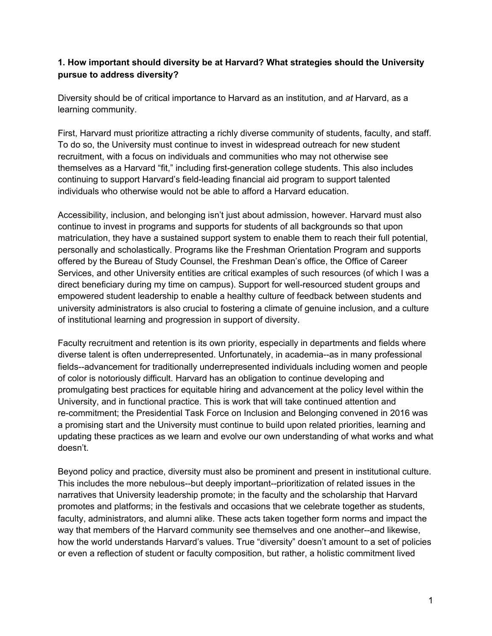## **1. How important should diversity be at Harvard? What strategies should the University pursue to address diversity?**

Diversity should be of critical importance to Harvard as an institution, and *at* Harvard, as a learning community.

First, Harvard must prioritize attracting a richly diverse community of students, faculty, and staff. To do so, the University must continue to invest in widespread outreach for new student recruitment, with a focus on individuals and communities who may not otherwise see themselves as a Harvard "fit," including first-generation college students. This also includes continuing to support Harvard's field-leading financial aid program to support talented individuals who otherwise would not be able to afford a Harvard education.

Accessibility, inclusion, and belonging isn't just about admission, however. Harvard must also continue to invest in programs and supports for students of all backgrounds so that upon matriculation, they have a sustained support system to enable them to reach their full potential, personally and scholastically. Programs like the Freshman Orientation Program and supports offered by the Bureau of Study Counsel, the Freshman Dean's office, the Office of Career Services, and other University entities are critical examples of such resources (of which I was a direct beneficiary during my time on campus). Support for well-resourced student groups and empowered student leadership to enable a healthy culture of feedback between students and university administrators is also crucial to fostering a climate of genuine inclusion, and a culture of institutional learning and progression in support of diversity.

Faculty recruitment and retention is its own priority, especially in departments and fields where diverse talent is often underrepresented. Unfortunately, in academia--as in many professional fields--advancement for traditionally underrepresented individuals including women and people of color is notoriously difficult. Harvard has an obligation to continue developing and promulgating best practices for equitable hiring and advancement at the policy level within the University, and in functional practice. This is work that will take continued attention and re-commitment; the Presidential Task Force on Inclusion and Belonging convened in 2016 was a promising start and the University must continue to build upon related priorities, learning and updating these practices as we learn and evolve our own understanding of what works and what doesn't.

Beyond policy and practice, diversity must also be prominent and present in institutional culture. This includes the more nebulous--but deeply important--prioritization of related issues in the narratives that University leadership promote; in the faculty and the scholarship that Harvard promotes and platforms; in the festivals and occasions that we celebrate together as students, faculty, administrators, and alumni alike. These acts taken together form norms and impact the way that members of the Harvard community see themselves and one another--and likewise, how the world understands Harvard's values. True "diversity" doesn't amount to a set of policies or even a reflection of student or faculty composition, but rather, a holistic commitment lived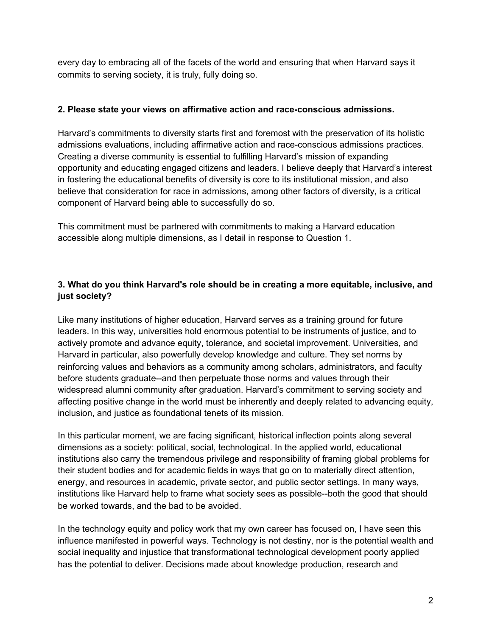every day to embracing all of the facets of the world and ensuring that when Harvard says it commits to serving society, it is truly, fully doing so.

### **2. Please state your views on affirmative action and race-conscious admissions.**

Harvard's commitments to diversity starts first and foremost with the preservation of its holistic admissions evaluations, including affirmative action and race-conscious admissions practices. Creating a diverse community is essential to fulfilling Harvard's mission of expanding opportunity and educating engaged citizens and leaders. I believe deeply that Harvard's interest in fostering the educational benefits of diversity is core to its institutional mission, and also believe that consideration for race in admissions, among other factors of diversity, is a critical component of Harvard being able to successfully do so.

This commitment must be partnered with commitments to making a Harvard education accessible along multiple dimensions, as I detail in response to Question 1.

# **3. What do you think Harvard's role should be in creating a more equitable, inclusive, and just society?**

Like many institutions of higher education, Harvard serves as a training ground for future leaders. In this way, universities hold enormous potential to be instruments of justice, and to actively promote and advance equity, tolerance, and societal improvement. Universities, and Harvard in particular, also powerfully develop knowledge and culture. They set norms by reinforcing values and behaviors as a community among scholars, administrators, and faculty before students graduate--and then perpetuate those norms and values through their widespread alumni community after graduation. Harvard's commitment to serving society and affecting positive change in the world must be inherently and deeply related to advancing equity, inclusion, and justice as foundational tenets of its mission.

In this particular moment, we are facing significant, historical inflection points along several dimensions as a society: political, social, technological. In the applied world, educational institutions also carry the tremendous privilege and responsibility of framing global problems for their student bodies and for academic fields in ways that go on to materially direct attention, energy, and resources in academic, private sector, and public sector settings. In many ways, institutions like Harvard help to frame what society sees as possible--both the good that should be worked towards, and the bad to be avoided.

In the technology equity and policy work that my own career has focused on, I have seen this influence manifested in powerful ways. Technology is not destiny, nor is the potential wealth and social inequality and injustice that transformational technological development poorly applied has the potential to deliver. Decisions made about knowledge production, research and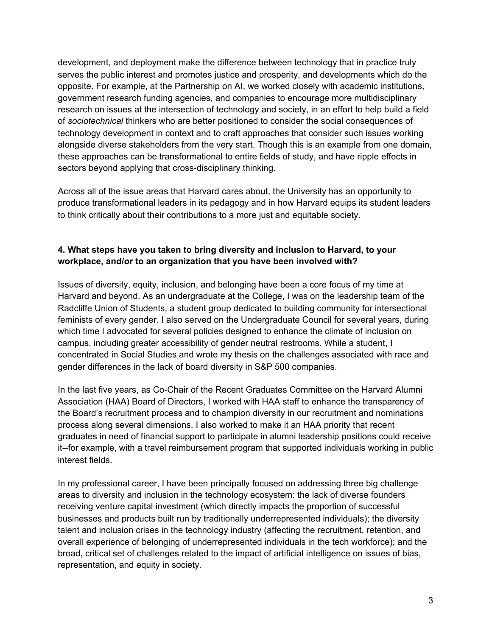development, and deployment make the difference between technology that in practice truly serves the public interest and promotes justice and prosperity, and developments which do the opposite. For example, at the Partnership on AI, we worked closely with academic institutions, government research funding agencies, and companies to encourage more multidisciplinary research on issues at the intersection of technology and society, in an effort to help build a field of *sociotechnical* thinkers who are better positioned to consider the social consequences of technology development in context and to craft approaches that consider such issues working alongside diverse stakeholders from the very start. Though this is an example from one domain, these approaches can be transformational to entire fields of study, and have ripple effects in sectors beyond applying that cross-disciplinary thinking.

Across all of the issue areas that Harvard cares about, the University has an opportunity to produce transformational leaders in its pedagogy and in how Harvard equips its student leaders to think critically about their contributions to a more just and equitable society.

### **4. What steps have you taken to bring diversity and inclusion to Harvard, to your workplace, and/or to an organization that you have been involved with?**

Issues of diversity, equity, inclusion, and belonging have been a core focus of my time at Harvard and beyond. As an undergraduate at the College, I was on the leadership team of the Radcliffe Union of Students, a student group dedicated to building community for intersectional feminists of every gender. I also served on the Undergraduate Council for several years, during which time I advocated for several policies designed to enhance the climate of inclusion on campus, including greater accessibility of gender neutral restrooms. While a student, I concentrated in Social Studies and wrote my thesis on the challenges associated with race and gender differences in the lack of board diversity in S&P 500 companies.

In the last five years, as Co-Chair of the Recent Graduates Committee on the Harvard Alumni Association (HAA) Board of Directors, I worked with HAA staff to enhance the transparency of the Board's recruitment process and to champion diversity in our recruitment and nominations process along several dimensions. I also worked to make it an HAA priority that recent graduates in need of financial support to participate in alumni leadership positions could receive it--for example, with a travel reimbursement program that supported individuals working in public interest fields.

In my professional career, I have been principally focused on addressing three big challenge areas to diversity and inclusion in the technology ecosystem: the lack of diverse founders receiving venture capital investment (which directly impacts the proportion of successful businesses and products built run by traditionally underrepresented individuals); the diversity talent and inclusion crises in the technology industry (affecting the recruitment, retention, and overall experience of belonging of underrepresented individuals in the tech workforce); and the broad, critical set of challenges related to the impact of artificial intelligence on issues of bias, representation, and equity in society.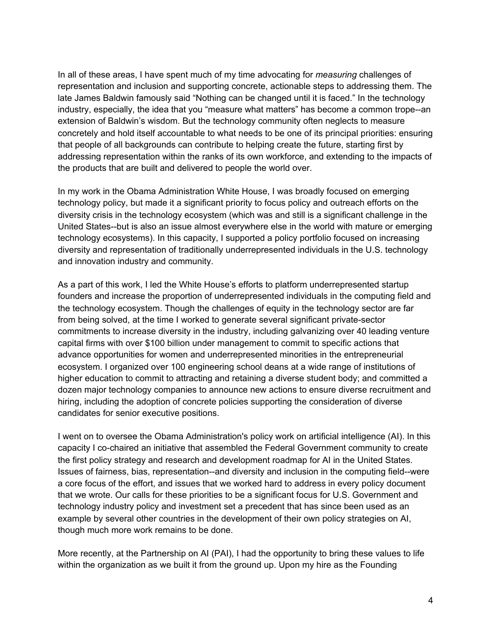In all of these areas, I have spent much of my time advocating for *measuring* challenges of representation and inclusion and supporting concrete, actionable steps to addressing them. The late James Baldwin famously said "Nothing can be changed until it is faced." In the technology industry, especially, the idea that you "measure what matters" has become a common trope--an extension of Baldwin's wisdom. But the technology community often neglects to measure concretely and hold itself accountable to what needs to be one of its principal priorities: ensuring that people of all backgrounds can contribute to helping create the future, starting first by addressing representation within the ranks of its own workforce, and extending to the impacts of the products that are built and delivered to people the world over.

In my work in the Obama Administration White House, I was broadly focused on emerging technology policy, but made it a significant priority to focus policy and outreach efforts on the diversity crisis in the technology ecosystem (which was and still is a significant challenge in the United States--but is also an issue almost everywhere else in the world with mature or emerging technology ecosystems). In this capacity, I supported a policy portfolio focused on increasing diversity and representation of traditionally underrepresented individuals in the U.S. technology and innovation industry and community.

As a part of this work, I led the White House's efforts to platform underrepresented startup founders and increase the proportion of underrepresented individuals in the computing field and the technology ecosystem. Though the challenges of equity in the technology sector are far from being solved, at the time I worked to generate several significant private-sector commitments to increase diversity in the industry, including galvanizing over 40 leading venture capital firms with over \$100 billion under management to commit to specific actions that advance opportunities for women and underrepresented minorities in the entrepreneurial ecosystem. I organized over 100 engineering school deans at a wide range of institutions of higher education to commit to attracting and retaining a diverse student body; and committed a dozen major technology companies to announce new actions to ensure diverse recruitment and hiring, including the adoption of concrete policies supporting the consideration of diverse candidates for senior executive positions.

I went on to oversee the Obama Administration's policy work on artificial intelligence (AI). In this capacity I co-chaired an initiative that assembled the Federal Government community to create the first policy strategy and research and development roadmap for AI in the United States. Issues of fairness, bias, representation--and diversity and inclusion in the computing field--were a core focus of the effort, and issues that we worked hard to address in every policy document that we wrote. Our calls for these priorities to be a significant focus for U.S. Government and technology industry policy and investment set a precedent that has since been used as an example by several other countries in the development of their own policy strategies on AI, though much more work remains to be done.

More recently, at the Partnership on AI (PAI), I had the opportunity to bring these values to life within the organization as we built it from the ground up. Upon my hire as the Founding